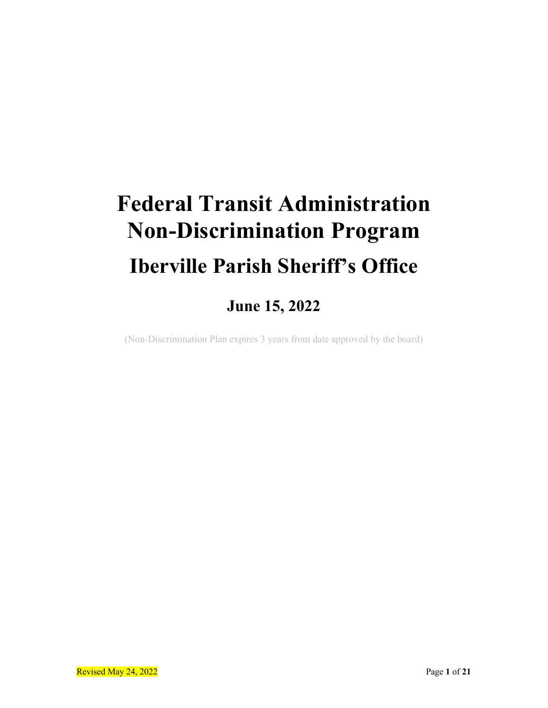# **Federal Transit Administration Non-Discrimination Program Iberville Parish Sheriff's Office**

**June 15, 2022**

(Non-Discrimination Plan expires 3 years from date approved by the board)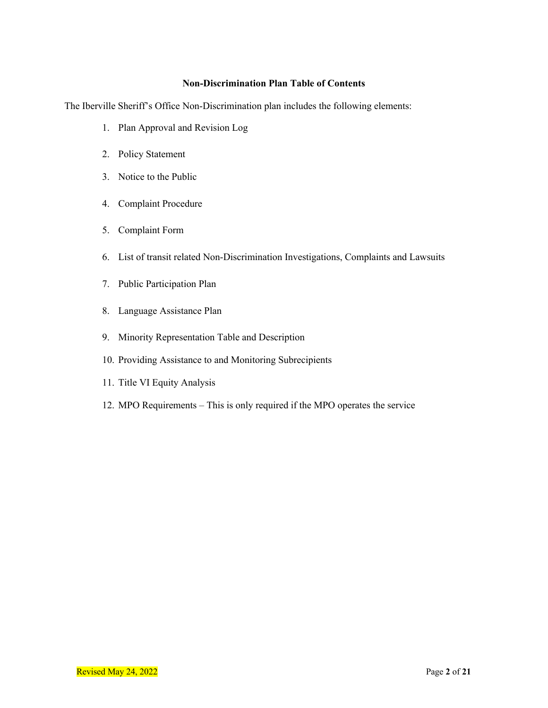#### **Non-Discrimination Plan Table of Contents**

The Iberville Sheriff's Office Non-Discrimination plan includes the following elements:

- 1. Plan Approval and Revision Log
- 2. Policy Statement
- 3. Notice to the Public
- 4. Complaint Procedure
- 5. Complaint Form
- 6. List of transit related Non-Discrimination Investigations, Complaints and Lawsuits
- 7. Public Participation Plan
- 8. Language Assistance Plan
- 9. Minority Representation Table and Description
- 10. Providing Assistance to and Monitoring Subrecipients
- 11. Title VI Equity Analysis
- 12. MPO Requirements This is only required if the MPO operates the service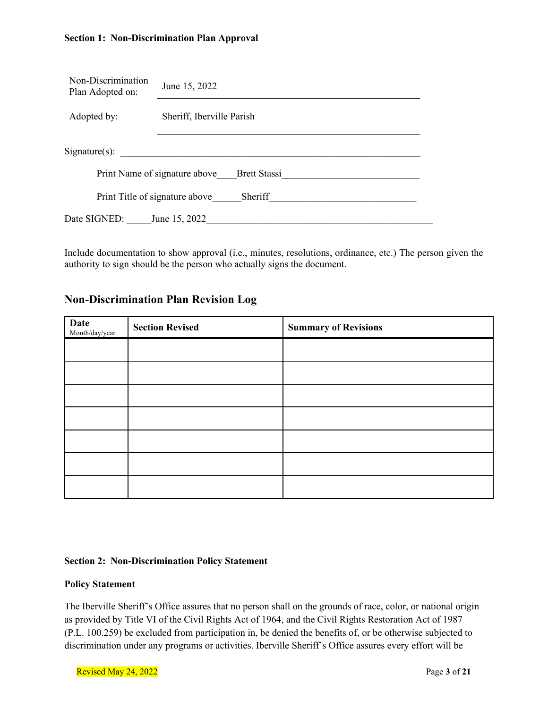#### **Section 1: Non-Discrimination Plan Approval**

| Non-Discrimination<br>Plan Adopted on:               | June 15, 2022             |  |  |  |  |
|------------------------------------------------------|---------------------------|--|--|--|--|
| Adopted by:                                          | Sheriff, Iberville Parish |  |  |  |  |
| $Sigma(s)$ :                                         |                           |  |  |  |  |
| <b>Brett Stassi</b><br>Print Name of signature above |                           |  |  |  |  |
| Sheriff<br>Print Title of signature above            |                           |  |  |  |  |
| Date SIGNED:<br>June 15, 2022                        |                           |  |  |  |  |

Include documentation to show approval (i.e., minutes, resolutions, ordinance, etc.) The person given the authority to sign should be the person who actually signs the document.

#### **Non-Discrimination Plan Revision Log**

| $\begin{array}{ll} \textbf{Date} \\ \textbf{Month/day/year} \end{array}$ | <b>Section Revised</b> | <b>Summary of Revisions</b> |
|--------------------------------------------------------------------------|------------------------|-----------------------------|
|                                                                          |                        |                             |
|                                                                          |                        |                             |
|                                                                          |                        |                             |
|                                                                          |                        |                             |
|                                                                          |                        |                             |
|                                                                          |                        |                             |
|                                                                          |                        |                             |

#### **Section 2: Non-Discrimination Policy Statement**

#### **Policy Statement**

The Iberville Sheriff's Office assures that no person shall on the grounds of race, color, or national origin as provided by Title VI of the Civil Rights Act of 1964, and the Civil Rights Restoration Act of 1987 (P.L. 100.259) be excluded from participation in, be denied the benefits of, or be otherwise subjected to discrimination under any programs or activities. Iberville Sheriff's Office assures every effort will be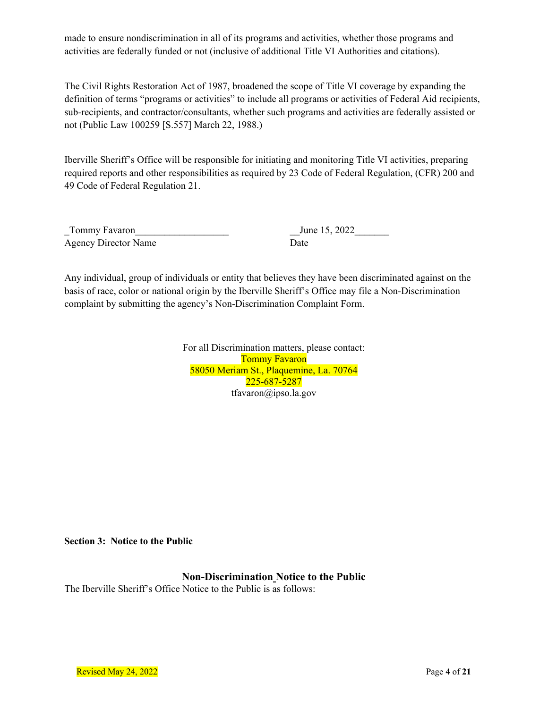made to ensure nondiscrimination in all of its programs and activities, whether those programs and activities are federally funded or not (inclusive of additional Title VI Authorities and citations).

The Civil Rights Restoration Act of 1987, broadened the scope of Title VI coverage by expanding the definition of terms "programs or activities" to include all programs or activities of Federal Aid recipients, sub-recipients, and contractor/consultants, whether such programs and activities are federally assisted or not (Public Law 100259 [S.557] March 22, 1988.)

Iberville Sheriff's Office will be responsible for initiating and monitoring Title VI activities, preparing required reports and other responsibilities as required by 23 Code of Federal Regulation, (CFR) 200 and 49 Code of Federal Regulation 21.

Tommy Favaron Tommit Favorich Communication of the US, 2022 Agency Director Name Date

Any individual, group of individuals or entity that believes they have been discriminated against on the basis of race, color or national origin by the Iberville Sheriff's Office may file a Non-Discrimination complaint by submitting the agency's Non-Discrimination Complaint Form.

> For all Discrimination matters, please contact: Tommy Favaron 58050 Meriam St., Plaquemine, La. 70764 225-687-5287 tfavaron@ipso.la.gov

**Section 3: Notice to the Public**

**Non-Discrimination Notice to the Public**

The Iberville Sheriff's Office Notice to the Public is as follows: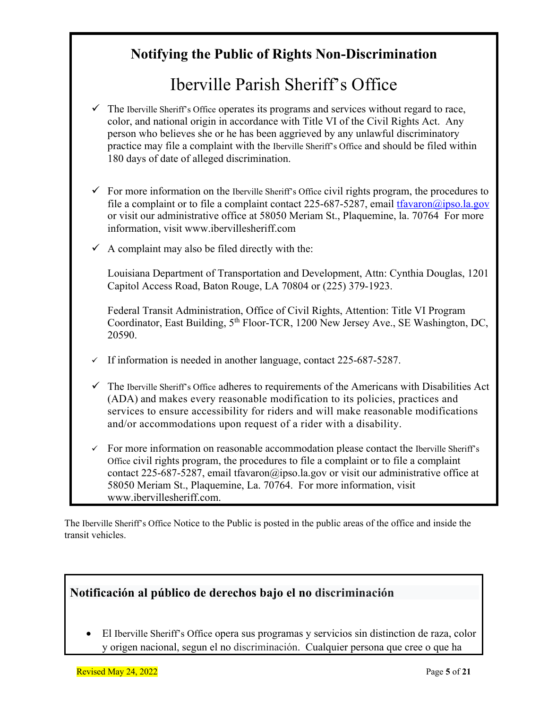### **Notifying the Public of Rights Non-Discrimination**

# Iberville Parish Sheriff's Office

- The Iberville Sheriff's Office operates its programs and services without regard to race, color, and national origin in accordance with Title VI of the Civil Rights Act. Any person who believes she or he has been aggrieved by any unlawful discriminatory practice may file a complaint with the Iberville Sheriff's Office and should be filed within 180 days of date of alleged discrimination.
- $\checkmark$  For more information on the Iberville Sheriff's Office civil rights program, the procedures to file a complaint or to file a complaint contact 225-687-5287, email  $\frac{f}{2}$  favor  $\frac{a}{2}$  is  $a$ , gov or visit our administrative office at 58050 Meriam St., Plaquemine, la. 70764 For more information, visit www.ibervillesheriff.com
- A complaint may also be filed directly with the:

Louisiana Department of Transportation and Development, Attn: Cynthia Douglas, 1201 Capitol Access Road, Baton Rouge, LA 70804 or (225) 379-1923.

Federal Transit Administration, Office of Civil Rights, Attention: Title VI Program Coordinator, East Building, 5<sup>th</sup> Floor-TCR, 1200 New Jersey Ave., SE Washington, DC, 20590.

- $\checkmark$  If information is needed in another language, contact 225-687-5287.
- $\checkmark$  The Iberville Sheriff's Office adheres to requirements of the Americans with Disabilities Act (ADA) and makes every reasonable modification to its policies, practices and services to ensure accessibility for riders and will make reasonable modifications and/or accommodations upon request of a rider with a disability.
- $\checkmark$  For more information on reasonable accommodation please contact the Iberville Sheriff's Office civil rights program, the procedures to file a complaint or to file a complaint contact 225-687-5287, email tfavaron@ipso.la.gov or visit our administrative office at 58050 Meriam St., Plaquemine, La. 70764. For more information, visit www.ibervillesheriff.com.

The Iberville Sheriff's Office Notice to the Public is posted in the public areas of the office and inside the transit vehicles.

### **Notificación al público de derechos bajo el no discriminación**

• El Iberville Sheriff's Office opera sus programas y servicios sin distinction de raza, color y origen nacional, segun el no discriminación. Cualquier persona que cree o que ha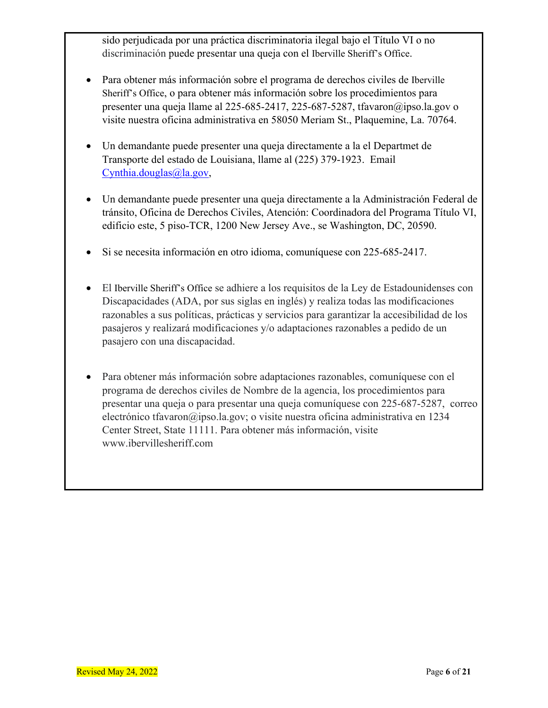sido perjudicada por una práctica discriminatoria ilegal bajo el Título VI o no discriminación puede presentar una queja con el Iberville Sheriff's Office.

- Para obtener más información sobre el programa de derechos civiles de Iberville Sheriff's Office, o para obtener más información sobre los procedimientos para presenter una queja llame al 225-685-2417, 225-687-5287, tfavaron@ipso.la.gov o visite nuestra oficina administrativa en 58050 Meriam St., Plaquemine, La. 70764.
- Un demandante puede presenter una queja directamente a la el Departmet de Transporte del estado de Louisiana, llame al (225) 379-1923. Email Cynthia.douglas@la.gov,
- Un demandante puede presenter una queja directamente a la Administración Federal de tránsito, Oficina de Derechos Civiles, Atención: Coordinadora del Programa Título VI, edificio este, 5 piso-TCR, 1200 New Jersey Ave., se Washington, DC, 20590.
- Si se necesita información en otro idioma, comuníquese con 225-685-2417.
- El Iberville Sheriff's Office se adhiere a los requisitos de la Ley de Estadounidenses con Discapacidades (ADA, por sus siglas en inglés) y realiza todas las modificaciones razonables a sus políticas, prácticas y servicios para garantizar la accesibilidad de los pasajeros y realizará modificaciones y/o adaptaciones razonables a pedido de un pasajero con una discapacidad.
- Para obtener más información sobre adaptaciones razonables, comuníquese con el programa de derechos civiles de Nombre de la agencia, los procedimientos para presentar una queja o para presentar una queja comuníquese con 225-687-5287, correo electrónico tfavaron@ipso.la.gov; o visite nuestra oficina administrativa en 1234 Center Street, State 11111. Para obtener más información, visite www.ibervillesheriff.com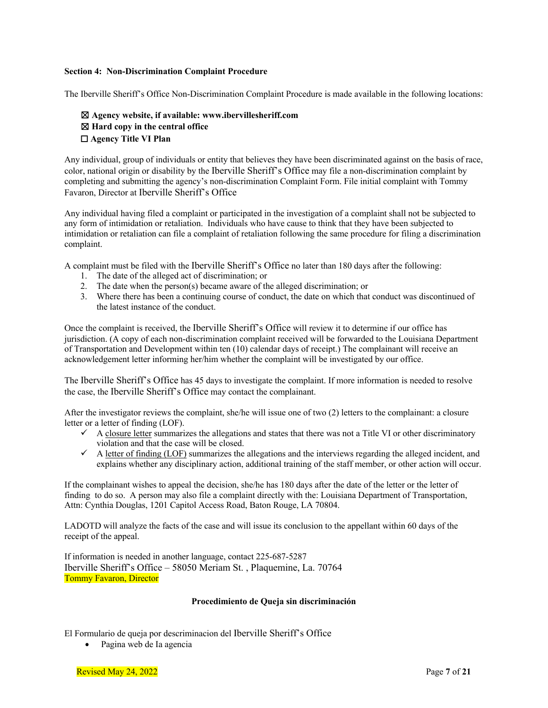#### **Section 4: Non-Discrimination Complaint Procedure**

The Iberville Sheriff's Office Non-Discrimination Complaint Procedure is made available in the following locations:

#### ☒ **Agency website, if available: www.ibervillesheriff.com** ☒ **Hard copy in the central office** ☐ **Agency Title VI Plan**

Any individual, group of individuals or entity that believes they have been discriminated against on the basis of race, color, national origin or disability by the Iberville Sheriff's Office may file a non-discrimination complaint by completing and submitting the agency's non-discrimination Complaint Form. File initial complaint with Tommy Favaron, Director at Iberville Sheriff's Office

Any individual having filed a complaint or participated in the investigation of a complaint shall not be subjected to any form of intimidation or retaliation. Individuals who have cause to think that they have been subjected to intimidation or retaliation can file a complaint of retaliation following the same procedure for filing a discrimination complaint.

A complaint must be filed with the Iberville Sheriff's Office no later than 180 days after the following:

- 1. The date of the alleged act of discrimination; or
- 2. The date when the person(s) became aware of the alleged discrimination; or
- 3. Where there has been a continuing course of conduct, the date on which that conduct was discontinued of the latest instance of the conduct.

Once the complaint is received, the Iberville Sheriff's Office will review it to determine if our office has jurisdiction. (A copy of each non-discrimination complaint received will be forwarded to the Louisiana Department of Transportation and Development within ten (10) calendar days of receipt.) The complainant will receive an acknowledgement letter informing her/him whether the complaint will be investigated by our office.

The Iberville Sheriff's Office has 45 days to investigate the complaint. If more information is needed to resolve the case, the Iberville Sheriff's Office may contact the complainant.

After the investigator reviews the complaint, she/he will issue one of two (2) letters to the complainant: a closure letter or a letter of finding (LOF).

- $\checkmark$  A closure letter summarizes the allegations and states that there was not a Title VI or other discriminatory violation and that the case will be closed.
- $\checkmark$  A letter of finding (LOF) summarizes the allegations and the interviews regarding the alleged incident, and explains whether any disciplinary action, additional training of the staff member, or other action will occur.

If the complainant wishes to appeal the decision, she/he has 180 days after the date of the letter or the letter of finding to do so. A person may also file a complaint directly with the: Louisiana Department of Transportation, Attn: Cynthia Douglas, 1201 Capitol Access Road, Baton Rouge, LA 70804.

LADOTD will analyze the facts of the case and will issue its conclusion to the appellant within 60 days of the receipt of the appeal.

If information is needed in another language, contact 225-687-5287 Iberville Sheriff's Office – 58050 Meriam St. , Plaquemine, La. 70764 Tommy Favaron, Director

#### **Procedimiento de Queja sin discriminación**

El Formulario de queja por descriminacion del Iberville Sheriff's Office

• Pagina web de Ia agencia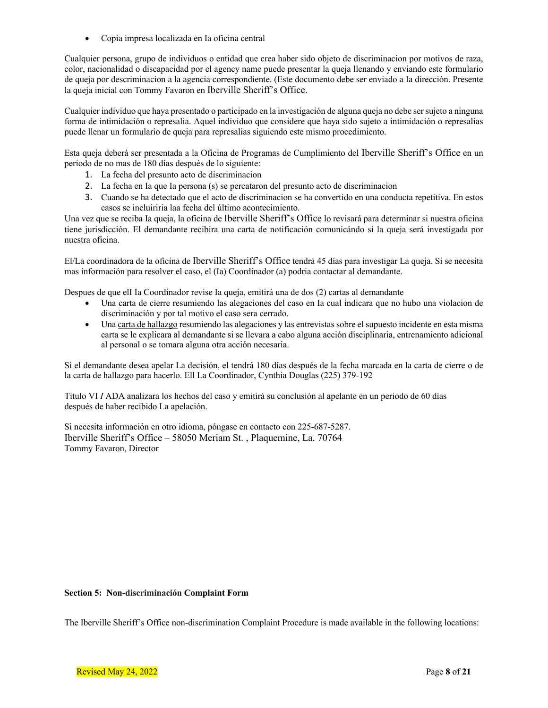• Copia impresa localizada en Ia oficina central

Cualquier persona, grupo de individuos o entidad que crea haber sido objeto de discriminacion por motivos de raza, color, nacionalidad o discapacidad por el agency name puede presentar la queja llenando y enviando este formulario de queja por descriminacion a la agencia correspondiente. (Este documento debe ser enviado a Ia dirección. Presente la queja inicial con Tommy Favaron en Iberville Sheriff's Office.

Cualquier individuo que haya presentado o participado en la investigación de alguna queja no debe ser sujeto a ninguna forma de intimidación o represalia. Aquel individuo que considere que haya sido sujeto a intimidación o represalias puede llenar un formulario de queja para represalias siguiendo este mismo procedimiento.

Esta queja deberá ser presentada a la Oficina de Programas de Cumplimiento del Iberville Sheriff's Office en un periodo de no mas de 180 días después de lo siguiente:

- 1. La fecha del presunto acto de discriminacion
- 2. La fecha en Ia que Ia persona (s) se percataron del presunto acto de discriminacion
- 3. Cuando se ha detectado que el acto de discriminacion se ha convertido en una conducta repetitiva. En estos casos se incluiriria laa fecha del último acontecimiento.

Una vez que se reciba Ia queja, la oficina de Iberville Sheriff's Office lo revisará para determinar si nuestra oficina tiene jurisdicción. El demandante recibira una carta de notificación comunicándo si la queja será investigada por nuestra oficina.

El/La coordinadora de la oficina de Iberville Sheriff's Office tendrá 45 días para investigar La queja. Si se necesita mas información para resolver el caso, el (Ia) Coordinador (a) podria contactar al demandante.

Despues de que elI Ia Coordinador revise Ia queja, emitirá una de dos (2) cartas al demandante

- Una carta de cierre resumiendo las alegaciones del caso en Ia cual indicara que no hubo una violacion de discriminación y por tal motivo el caso sera cerrado.
- Una carta de hallazgo resumiendo las alegaciones y las entrevistas sobre el supuesto incidente en esta misma carta se le explicara al demandante si se llevara a cabo alguna acción disciplinaria, entrenamiento adicional al personal o se tomara alguna otra acción necesaria.

Si el demandante desea apelar La decisión, el tendrá 180 días después de la fecha marcada en la carta de cierre o de la carta de hallazgo para hacerlo. Ell La Coordinador, Cynthia Douglas (225) 379-192

Titulo VI *I* ADA analizara los hechos del caso y emitirá su conclusión al apelante en un periodo de 60 días después de haber recibido La apelación.

Si necesita información en otro idioma, póngase en contacto con 225-687-5287. Iberville Sheriff's Office – 58050 Meriam St. , Plaquemine, La. 70764 Tommy Favaron, Director

#### **Section 5: Non-discriminación Complaint Form**

The Iberville Sheriff's Office non-discrimination Complaint Procedure is made available in the following locations: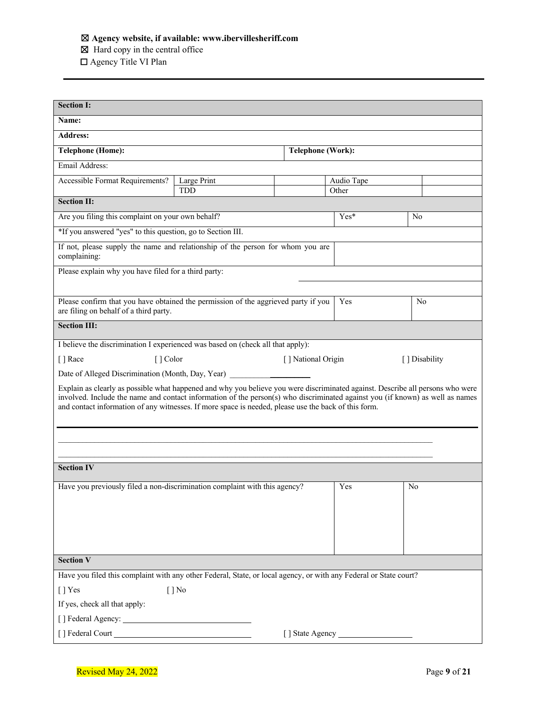#### ☒ **Agency website, if available: www.ibervillesheriff.com**

☒ Hard copy in the central office

☐ Agency Title VI Plan

| <b>Section I:</b>                                                                                                                                                                                                                                                                                                                                                       |             |                    |            |                |  |  |
|-------------------------------------------------------------------------------------------------------------------------------------------------------------------------------------------------------------------------------------------------------------------------------------------------------------------------------------------------------------------------|-------------|--------------------|------------|----------------|--|--|
| Name:                                                                                                                                                                                                                                                                                                                                                                   |             |                    |            |                |  |  |
| <b>Address:</b>                                                                                                                                                                                                                                                                                                                                                         |             |                    |            |                |  |  |
| <b>Telephone (Home):</b>                                                                                                                                                                                                                                                                                                                                                |             | Telephone (Work):  |            |                |  |  |
| Email Address:                                                                                                                                                                                                                                                                                                                                                          |             |                    |            |                |  |  |
| Accessible Format Requirements?                                                                                                                                                                                                                                                                                                                                         | Large Print |                    | Audio Tape |                |  |  |
| <b>Section II:</b>                                                                                                                                                                                                                                                                                                                                                      | <b>TDD</b>  |                    | Other      |                |  |  |
| Are you filing this complaint on your own behalf?                                                                                                                                                                                                                                                                                                                       |             |                    | $Yes*$     | No             |  |  |
| *If you answered "yes" to this question, go to Section III.                                                                                                                                                                                                                                                                                                             |             |                    |            |                |  |  |
| If not, please supply the name and relationship of the person for whom you are<br>complaining:                                                                                                                                                                                                                                                                          |             |                    |            |                |  |  |
| Please explain why you have filed for a third party:                                                                                                                                                                                                                                                                                                                    |             |                    |            |                |  |  |
|                                                                                                                                                                                                                                                                                                                                                                         |             |                    |            |                |  |  |
| Please confirm that you have obtained the permission of the aggrieved party if you<br>are filing on behalf of a third party.                                                                                                                                                                                                                                            |             |                    | Yes        | No             |  |  |
| <b>Section III:</b>                                                                                                                                                                                                                                                                                                                                                     |             |                    |            |                |  |  |
| I believe the discrimination I experienced was based on (check all that apply):                                                                                                                                                                                                                                                                                         |             |                    |            |                |  |  |
| [] Race<br>[ ] Color                                                                                                                                                                                                                                                                                                                                                    |             | [] National Origin |            | [ ] Disability |  |  |
| Date of Alleged Discrimination (Month, Day, Year) [189]                                                                                                                                                                                                                                                                                                                 |             |                    |            |                |  |  |
| Explain as clearly as possible what happened and why you believe you were discriminated against. Describe all persons who were<br>involved. Include the name and contact information of the person(s) who discriminated against you (if known) as well as names<br>and contact information of any witnesses. If more space is needed, please use the back of this form. |             |                    |            |                |  |  |
|                                                                                                                                                                                                                                                                                                                                                                         |             |                    |            |                |  |  |
|                                                                                                                                                                                                                                                                                                                                                                         |             |                    |            |                |  |  |
| <b>Section IV</b>                                                                                                                                                                                                                                                                                                                                                       |             |                    |            |                |  |  |
| Have you previously filed a non-discrimination complaint with this agency?                                                                                                                                                                                                                                                                                              |             |                    | Yes        | No             |  |  |
|                                                                                                                                                                                                                                                                                                                                                                         |             |                    |            |                |  |  |
| <b>Section V</b>                                                                                                                                                                                                                                                                                                                                                        |             |                    |            |                |  |  |
| Have you filed this complaint with any other Federal, State, or local agency, or with any Federal or State court?                                                                                                                                                                                                                                                       |             |                    |            |                |  |  |
| [] Yes                                                                                                                                                                                                                                                                                                                                                                  | $[$   No    |                    |            |                |  |  |
| If yes, check all that apply:                                                                                                                                                                                                                                                                                                                                           |             |                    |            |                |  |  |
|                                                                                                                                                                                                                                                                                                                                                                         |             |                    |            |                |  |  |
|                                                                                                                                                                                                                                                                                                                                                                         |             |                    |            |                |  |  |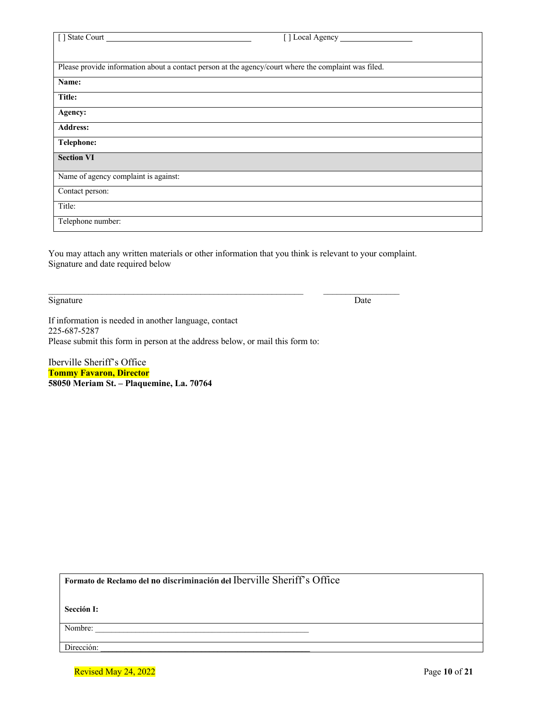| [] State Court                                                                                       | [] Local Agency |
|------------------------------------------------------------------------------------------------------|-----------------|
|                                                                                                      |                 |
|                                                                                                      |                 |
| Please provide information about a contact person at the agency/court where the complaint was filed. |                 |
| Name:                                                                                                |                 |
| Title:                                                                                               |                 |
| Agency:                                                                                              |                 |
| <b>Address:</b>                                                                                      |                 |
| Telephone:                                                                                           |                 |
| <b>Section VI</b>                                                                                    |                 |
| Name of agency complaint is against:                                                                 |                 |
| Contact person:                                                                                      |                 |
| Title:                                                                                               |                 |
| Telephone number:                                                                                    |                 |

You may attach any written materials or other information that you think is relevant to your complaint. Signature and date required below

Signature Date

If information is needed in another language, contact 225-687-5287 Please submit this form in person at the address below, or mail this form to:

Iberville Sheriff's Office **Tommy Favaron, Director 58050 Meriam St. – Plaquemine, La. 70764**

**Formato de Reclamo del no discriminación del** Iberville Sheriff's Office

**Sección I:**

Nombre:

Dirección:

Revised May 24, 2022 **Page 10** of 21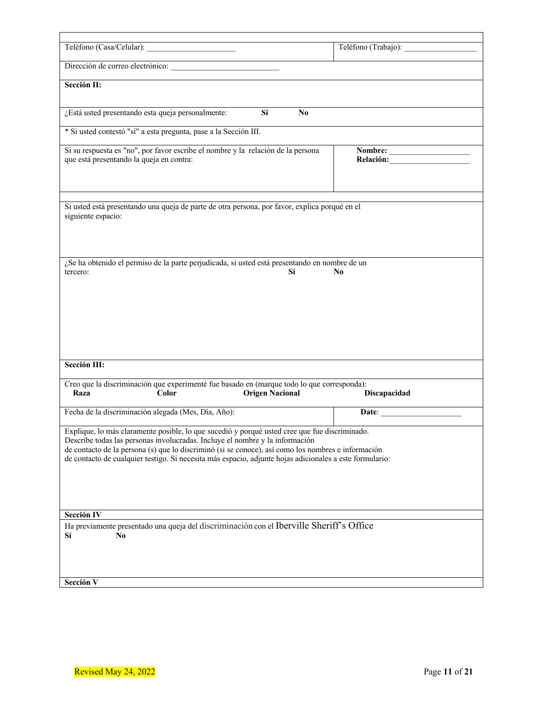|                          |                                                                  |                                                                                                                                                                                                                                                                                                                                                                                                | Teléfono (Trabajo): |         |
|--------------------------|------------------------------------------------------------------|------------------------------------------------------------------------------------------------------------------------------------------------------------------------------------------------------------------------------------------------------------------------------------------------------------------------------------------------------------------------------------------------|---------------------|---------|
|                          | Dirección de correo electrónico:                                 |                                                                                                                                                                                                                                                                                                                                                                                                |                     |         |
| Sección II:              |                                                                  |                                                                                                                                                                                                                                                                                                                                                                                                |                     |         |
|                          | ¿Está usted presentando esta queja personalmente:                | Sí<br>No                                                                                                                                                                                                                                                                                                                                                                                       |                     |         |
|                          | * Si usted contestó "sí" a esta pregunta, pase a la Sección III. |                                                                                                                                                                                                                                                                                                                                                                                                |                     |         |
|                          | que está presentando la queja en contra:                         | Si su respuesta es "no", por favor escribe el nombre y la relación de la persona                                                                                                                                                                                                                                                                                                               |                     | Nombre: |
| siguiente espacio:       |                                                                  | Si usted está presentando una queja de parte de otra persona, por favor, explica porqué en el                                                                                                                                                                                                                                                                                                  |                     |         |
|                          |                                                                  | ¿Se ha obtenido el permiso de la parte perjudicada, si usted está presentando en nombre de un                                                                                                                                                                                                                                                                                                  |                     |         |
|                          |                                                                  | Sí                                                                                                                                                                                                                                                                                                                                                                                             | N <sub>0</sub>      |         |
| tercero:<br>Sección III: |                                                                  |                                                                                                                                                                                                                                                                                                                                                                                                |                     |         |
| Raza                     | Color                                                            | Creo que la discriminación que experimenté fue basado en (marque todo lo que corresponda):<br><b>Origen Nacional</b>                                                                                                                                                                                                                                                                           | <b>Discapacidad</b> |         |
|                          | Fecha de la discriminación alegada (Mes, Día, Año):              |                                                                                                                                                                                                                                                                                                                                                                                                |                     |         |
|                          |                                                                  | Explique, lo más claramente posible, lo que sucedió y porqué usted cree que fue discriminado.<br>Describe todas las personas involucradas. Incluye el nombre y la información<br>de contacto de la persona (s) que lo discriminó (si se conoce), así como los nombres e información<br>de contacto de cualquier testigo. Si necesita más espacio, adjunte hojas adicionales a este formulario: |                     |         |
| Sección IV               |                                                                  |                                                                                                                                                                                                                                                                                                                                                                                                |                     |         |
| Sí<br>No                 |                                                                  | Ha previamente presentado una queja del discriminación con el Iberville Sheriff's Office                                                                                                                                                                                                                                                                                                       |                     |         |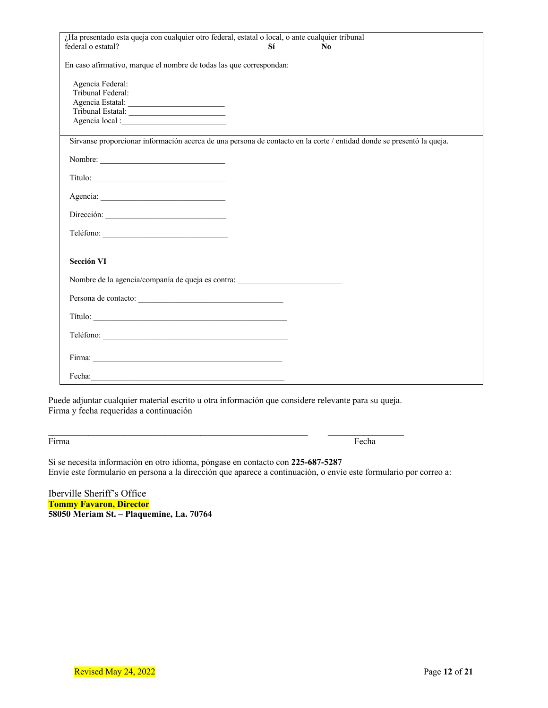| ¿Ha presentado esta queja con cualquier otro federal, estatal o local, o ante cualquier tribunal                                                                                                                               |    |                |
|--------------------------------------------------------------------------------------------------------------------------------------------------------------------------------------------------------------------------------|----|----------------|
| federal o estatal?                                                                                                                                                                                                             | Sí | N <sub>0</sub> |
| En caso afirmativo, marque el nombre de todas las que correspondan:                                                                                                                                                            |    |                |
|                                                                                                                                                                                                                                |    |                |
| Tribunal Federal:                                                                                                                                                                                                              |    |                |
| Agencia Estatal:                                                                                                                                                                                                               |    |                |
|                                                                                                                                                                                                                                |    |                |
|                                                                                                                                                                                                                                |    |                |
| Sírvanse proporcionar información acerca de una persona de contacto en la corte / entidad donde se presentó la queja.                                                                                                          |    |                |
| Nombre:                                                                                                                                                                                                                        |    |                |
|                                                                                                                                                                                                                                |    |                |
|                                                                                                                                                                                                                                |    |                |
| Dirección:                                                                                                                                                                                                                     |    |                |
|                                                                                                                                                                                                                                |    |                |
| Sección VI                                                                                                                                                                                                                     |    |                |
| Nombre de la agencia/companía de queja es contra: _______________________________                                                                                                                                              |    |                |
|                                                                                                                                                                                                                                |    |                |
|                                                                                                                                                                                                                                |    |                |
|                                                                                                                                                                                                                                |    |                |
|                                                                                                                                                                                                                                |    |                |
| Fecha: 2000 Contract and 2000 Contract and 2000 Contract and 2000 Contract and 2000 Contract and 2000 Contract and 2000 Contract and 2000 Contract and 2000 Contract and 2000 Contract and 2000 Contract and 2000 Contract and |    |                |

Puede adjuntar cualquier material escrito u otra información que considere relevante para su queja. Firma y fecha requeridas a continuación

 $\mathcal{L}_\text{max}$ 

Firma Fecha **Fecha** Fecha **Fecha Fecha Fecha Fecha** Fecha Fecha Fecha Fecha Fecha Fecha Fecha Fecha Fecha Fecha Fecha Fecha Fecha Fecha Fecha Fecha Fecha Fecha Fecha Fecha Fecha Fecha Fecha Fecha Fecha Fecha Fecha Fecha Fe

Si se necesita información en otro idioma, póngase en contacto con **225-687-5287** Envíe este formulario en persona a la dirección que aparece a continuación, o envíe este formulario por correo a:

Iberville Sheriff's Office **Tommy Favaron, Director 58050 Meriam St. – Plaquemine, La. 70764**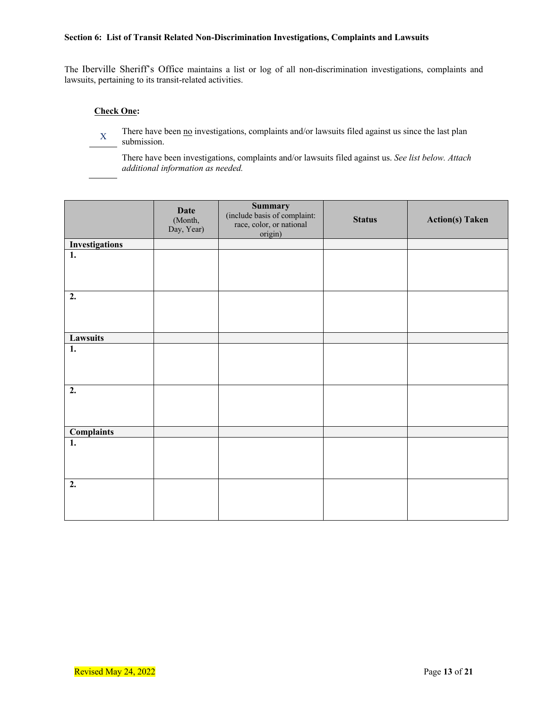#### **Section 6: List of Transit Related Non-Discrimination Investigations, Complaints and Lawsuits**

The Iberville Sheriff's Office maintains a list or log of all non-discrimination investigations, complaints and lawsuits, pertaining to its transit-related activities.

#### **Check One:**

There have been  $\underline{no}$  investigations, complaints and/or lawsuits filed against us since the last plan submission.

There have been investigations, complaints and/or lawsuits filed against us. *See list below. Attach additional information as needed.*

|                       | <b>Date</b><br>(Month,<br>Day, Year) | <b>Summary</b><br>(include basis of complaint:<br>race, color, or national<br>origin) | <b>Status</b> | <b>Action(s)</b> Taken |
|-----------------------|--------------------------------------|---------------------------------------------------------------------------------------|---------------|------------------------|
| <b>Investigations</b> |                                      |                                                                                       |               |                        |
| $\overline{1}$ .      |                                      |                                                                                       |               |                        |
| 2.                    |                                      |                                                                                       |               |                        |
| Lawsuits              |                                      |                                                                                       |               |                        |
| 1.                    |                                      |                                                                                       |               |                        |
| 2.                    |                                      |                                                                                       |               |                        |
| <b>Complaints</b>     |                                      |                                                                                       |               |                        |
| $\overline{1}$ .      |                                      |                                                                                       |               |                        |
| 2.                    |                                      |                                                                                       |               |                        |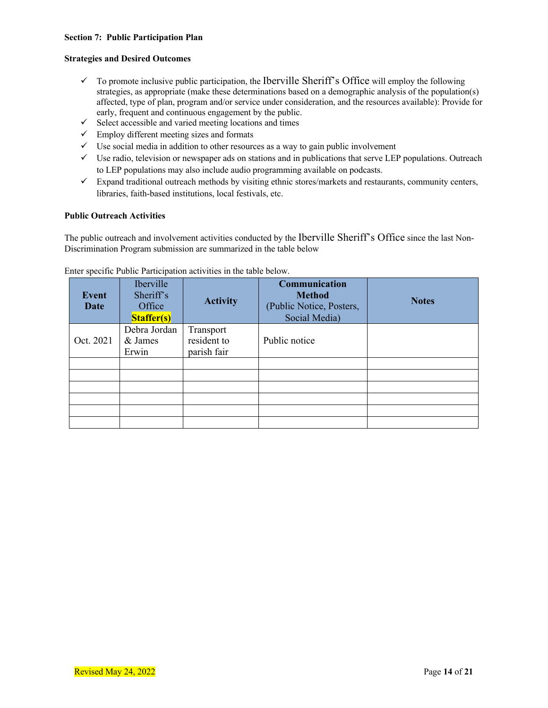#### **Section 7: Public Participation Plan**

#### **Strategies and Desired Outcomes**

- $\checkmark$  To promote inclusive public participation, the Iberville Sheriff's Office will employ the following strategies, as appropriate (make these determinations based on a demographic analysis of the population(s) affected, type of plan, program and/or service under consideration, and the resources available): Provide for early, frequent and continuous engagement by the public.
- $\checkmark$  Select accessible and varied meeting locations and times
- $\checkmark$  Employ different meeting sizes and formats
- $\checkmark$  Use social media in addition to other resources as a way to gain public involvement
- $\checkmark$  Use radio, television or newspaper ads on stations and in publications that serve LEP populations. Outreach to LEP populations may also include audio programming available on podcasts.
- $\checkmark$  Expand traditional outreach methods by visiting ethnic stores/markets and restaurants, community centers, libraries, faith-based institutions, local festivals, etc.

#### **Public Outreach Activities**

The public outreach and involvement activities conducted by the Iberville Sheriff's Office since the last Non-Discrimination Program submission are summarized in the table below

| Event<br>Date | <b>Iberville</b><br>Sheriff's<br>Office<br><b>Staffer(s)</b> | <b>Activity</b>                         | Communication<br><b>Method</b><br>(Public Notice, Posters,<br>Social Media) | <b>Notes</b> |
|---------------|--------------------------------------------------------------|-----------------------------------------|-----------------------------------------------------------------------------|--------------|
| Oct. 2021     | Debra Jordan<br>& James<br>Erwin                             | Transport<br>resident to<br>parish fair | Public notice                                                               |              |
|               |                                                              |                                         |                                                                             |              |
|               |                                                              |                                         |                                                                             |              |
|               |                                                              |                                         |                                                                             |              |

#### Enter specific Public Participation activities in the table below.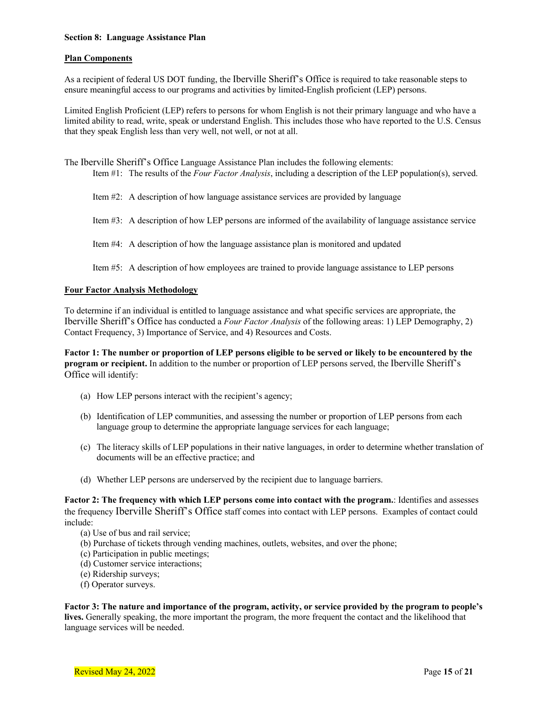#### **Section 8: Language Assistance Plan**

#### **Plan Components**

As a recipient of federal US DOT funding, the Iberville Sheriff's Office is required to take reasonable steps to ensure meaningful access to our programs and activities by limited-English proficient (LEP) persons.

Limited English Proficient (LEP) refers to persons for whom English is not their primary language and who have a limited ability to read, write, speak or understand English. This includes those who have reported to the U.S. Census that they speak English less than very well, not well, or not at all.

- The Iberville Sheriff's Office Language Assistance Plan includes the following elements: Item #1: The results of the *Four Factor Analysis*, including a description of the LEP population(s), served.
	- Item #2: A description of how language assistance services are provided by language
	- Item #3: A description of how LEP persons are informed of the availability of language assistance service
	- Item #4: A description of how the language assistance plan is monitored and updated

Item #5: A description of how employees are trained to provide language assistance to LEP persons

#### **Four Factor Analysis Methodology**

To determine if an individual is entitled to language assistance and what specific services are appropriate, the Iberville Sheriff's Office has conducted a *Four Factor Analysis* of the following areas: 1) LEP Demography, 2) Contact Frequency, 3) Importance of Service, and 4) Resources and Costs.

**Factor 1: The number or proportion of LEP persons eligible to be served or likely to be encountered by the program or recipient.** In addition to the number or proportion of LEP persons served, the Iberville Sheriff's Office will identify:

- (a) How LEP persons interact with the recipient's agency;
- (b) Identification of LEP communities, and assessing the number or proportion of LEP persons from each language group to determine the appropriate language services for each language;
- (c) The literacy skills of LEP populations in their native languages, in order to determine whether translation of documents will be an effective practice; and
- (d) Whether LEP persons are underserved by the recipient due to language barriers.

**Factor 2: The frequency with which LEP persons come into contact with the program.**: Identifies and assesses the frequency Iberville Sheriff's Office staff comes into contact with LEP persons. Examples of contact could include:

- (a) Use of bus and rail service;
- (b) Purchase of tickets through vending machines, outlets, websites, and over the phone;
- (c) Participation in public meetings;
- (d) Customer service interactions;
- (e) Ridership surveys;
- (f) Operator surveys.

**Factor 3: The nature and importance of the program, activity, or service provided by the program to people's lives.** Generally speaking, the more important the program, the more frequent the contact and the likelihood that language services will be needed.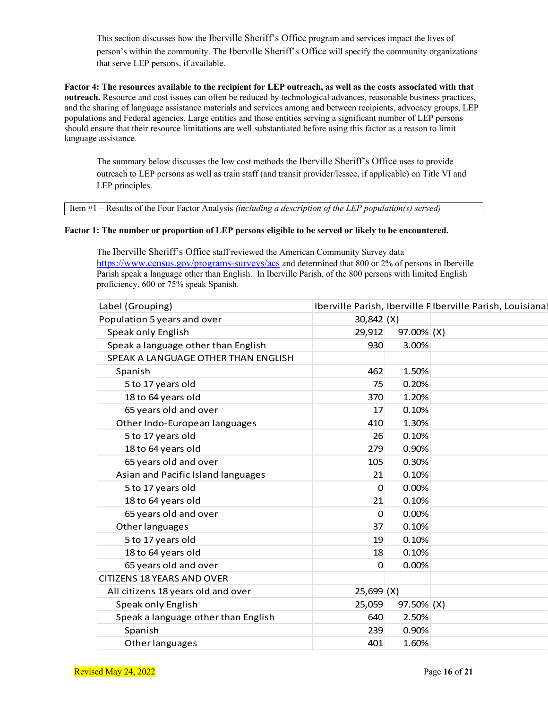This section discusses how the Iberville Sheriff's Office program and services impact the lives of person's within the community. The Iberville Sheriff's Office will specify the community organizations that serve LEP persons, if available.

**Factor 4: The resources available to the recipient for LEP outreach, as well as the costs associated with that outreach.** Resource and cost issues can often be reduced by technological advances, reasonable business practices, and the sharing of language assistance materials and services among and between recipients, advocacy groups, LEP populations and Federal agencies. Large entities and those entities serving a significant number of LEP persons should ensure that their resource limitations are well substantiated before using this factor as a reason to limit language assistance.

The summary below discusses the low cost methods the Iberville Sheriff's Office uses to provide outreach to LEP persons as well as train staff (and transit provider/lessee, if applicable) on Title VI and LEP principles.

Item #1 – Results of the Four Factor Analysis *(including a description of the LEP population(s) served)*

#### **Factor 1: The number or proportion of LEP persons eligible to be served or likely to be encountered.**

The Iberville Sheriff's Office staff reviewed the American Community Survey data https://www.census.gov/programs-surveys/acs and determined that 800 or 2% of persons in Iberville Parish speak a language other than English. In Iberville Parish, of the 800 persons with limited English proficiency, 600 or 75% speak Spanish.

| Label (Grouping)                    |                |            | Iberville Parish, Iberville PIberville Parish, Louisiana. |
|-------------------------------------|----------------|------------|-----------------------------------------------------------|
| Population 5 years and over         | $30,842$ (X)   |            |                                                           |
| Speak only English                  | 29,912         | 97.00% (X) |                                                           |
| Speak a language other than English | 930            | 3.00%      |                                                           |
| SPEAK A LANGUAGE OTHER THAN ENGLISH |                |            |                                                           |
| Spanish                             | 462            | 1.50%      |                                                           |
| 5 to 17 years old                   | 75             | 0.20%      |                                                           |
| 18 to 64 years old                  | 370            | 1.20%      |                                                           |
| 65 years old and over               | 17             | 0.10%      |                                                           |
| Other Indo-European languages       | 410            | 1.30%      |                                                           |
| 5 to 17 years old                   | 26             | 0.10%      |                                                           |
| 18 to 64 years old                  | 279            | 0.90%      |                                                           |
| 65 years old and over               | 105            | 0.30%      |                                                           |
| Asian and Pacific Island languages  | 21             | 0.10%      |                                                           |
| 5 to 17 years old                   | $\Omega$       | 0.00%      |                                                           |
| 18 to 64 years old                  | 21             | 0.10%      |                                                           |
| 65 years old and over               | $\overline{0}$ | 0.00%      |                                                           |
| Other languages                     | 37             | 0.10%      |                                                           |
| 5 to 17 years old                   | 19             | 0.10%      |                                                           |
| 18 to 64 years old                  | 18             | 0.10%      |                                                           |
| 65 years old and over               | $\Omega$       | 0.00%      |                                                           |
| <b>CITIZENS 18 YEARS AND OVER</b>   |                |            |                                                           |
| All citizens 18 years old and over  | $25,699$ (X)   |            |                                                           |
| Speak only English                  | 25,059         | 97.50% (X) |                                                           |
| Speak a language other than English | 640            | 2.50%      |                                                           |
| Spanish                             | 239            | 0.90%      |                                                           |
| Other languages                     | 401            | 1.60%      |                                                           |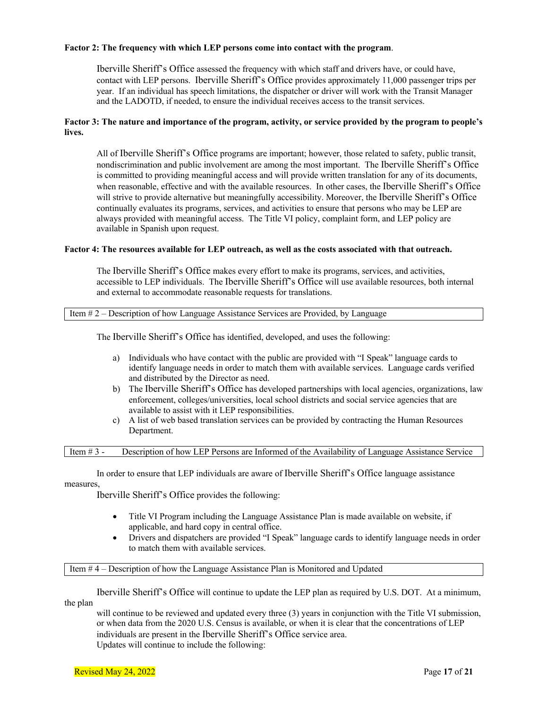#### **Factor 2: The frequency with which LEP persons come into contact with the program**.

Iberville Sheriff's Office assessed the frequency with which staff and drivers have, or could have, contact with LEP persons. Iberville Sheriff's Office provides approximately 11,000 passenger trips per year. If an individual has speech limitations, the dispatcher or driver will work with the Transit Manager and the LADOTD, if needed, to ensure the individual receives access to the transit services.

#### **Factor 3: The nature and importance of the program, activity, or service provided by the program to people's lives.**

All of Iberville Sheriff's Office programs are important; however, those related to safety, public transit, nondiscrimination and public involvement are among the most important. The Iberville Sheriff's Office is committed to providing meaningful access and will provide written translation for any of its documents, when reasonable, effective and with the available resources. In other cases, the Iberville Sheriff's Office will strive to provide alternative but meaningfully accessibility. Moreover, the Iberville Sheriff's Office continually evaluates its programs, services, and activities to ensure that persons who may be LEP are always provided with meaningful access. The Title VI policy, complaint form, and LEP policy are available in Spanish upon request.

#### **Factor 4: The resources available for LEP outreach, as well as the costs associated with that outreach.**

The Iberville Sheriff's Office makes every effort to make its programs, services, and activities, accessible to LEP individuals. The Iberville Sheriff's Office will use available resources, both internal and external to accommodate reasonable requests for translations.

Item # 2 – Description of how Language Assistance Services are Provided, by Language

The Iberville Sheriff's Office has identified, developed, and uses the following:

- a) Individuals who have contact with the public are provided with "I Speak" language cards to identify language needs in order to match them with available services. Language cards verified and distributed by the Director as need.
- b) The Iberville Sheriff's Office has developed partnerships with local agencies, organizations, law enforcement, colleges/universities, local school districts and social service agencies that are available to assist with it LEP responsibilities.
- c) A list of web based translation services can be provided by contracting the Human Resources Department.

Item # 3 - Description of how LEP Persons are Informed of the Availability of Language Assistance Service

In order to ensure that LEP individuals are aware of Iberville Sheriff's Office language assistance measures,

Iberville Sheriff's Office provides the following:

- Title VI Program including the Language Assistance Plan is made available on website, if applicable, and hard copy in central office.
- Drivers and dispatchers are provided "I Speak" language cards to identify language needs in order to match them with available services.

Item # 4 – Description of how the Language Assistance Plan is Monitored and Updated

Iberville Sheriff's Office will continue to update the LEP plan as required by U.S. DOT. At a minimum, the plan

will continue to be reviewed and updated every three (3) years in conjunction with the Title VI submission, or when data from the 2020 U.S. Census is available, or when it is clear that the concentrations of LEP individuals are present in the Iberville Sheriff's Office service area. Updates will continue to include the following: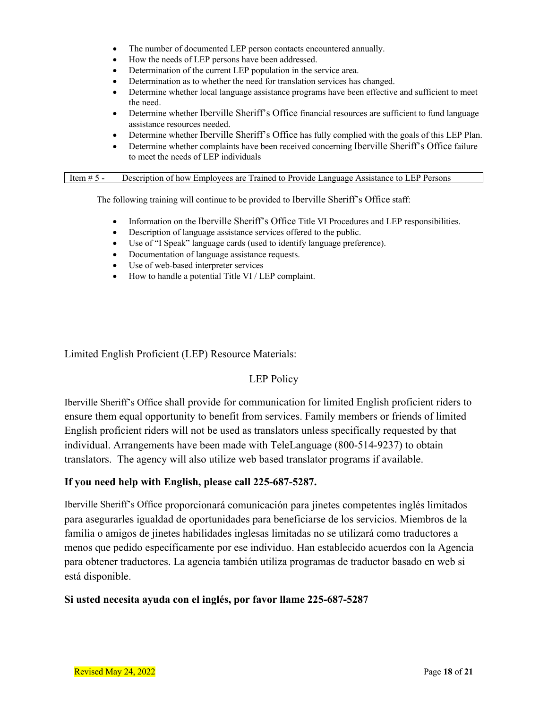- The number of documented LEP person contacts encountered annually.
- How the needs of LEP persons have been addressed.
- Determination of the current LEP population in the service area.
- Determination as to whether the need for translation services has changed.
- Determine whether local language assistance programs have been effective and sufficient to meet the need.
- Determine whether Iberville Sheriff's Office financial resources are sufficient to fund language assistance resources needed.
- Determine whether Iberville Sheriff's Office has fully complied with the goals of this LEP Plan.
- Determine whether complaints have been received concerning Iberville Sheriff's Office failure to meet the needs of LEP individuals

#### Item # 5 - Description of how Employees are Trained to Provide Language Assistance to LEP Persons

The following training will continue to be provided to Iberville Sheriff's Office staff:

- Information on the Iberville Sheriff's Office Title VI Procedures and LEP responsibilities.
- Description of language assistance services offered to the public.
- Use of "I Speak" language cards (used to identify language preference).
- Documentation of language assistance requests.
- Use of web-based interpreter services
- How to handle a potential Title VI / LEP complaint.

Limited English Proficient (LEP) Resource Materials:

#### LEP Policy

Iberville Sheriff's Office shall provide for communication for limited English proficient riders to ensure them equal opportunity to benefit from services. Family members or friends of limited English proficient riders will not be used as translators unless specifically requested by that individual. Arrangements have been made with TeleLanguage (800-514-9237) to obtain translators. The agency will also utilize web based translator programs if available.

#### **If you need help with English, please call 225-687-5287.**

Iberville Sheriff's Office proporcionará comunicación para jinetes competentes inglés limitados para asegurarles igualdad de oportunidades para beneficiarse de los servicios. Miembros de la familia o amigos de jinetes habilidades inglesas limitadas no se utilizará como traductores a menos que pedido específicamente por ese individuo. Han establecido acuerdos con la Agencia para obtener traductores. La agencia también utiliza programas de traductor basado en web si está disponible.

#### **Si usted necesita ayuda con el inglés, por favor llame 225-687-5287**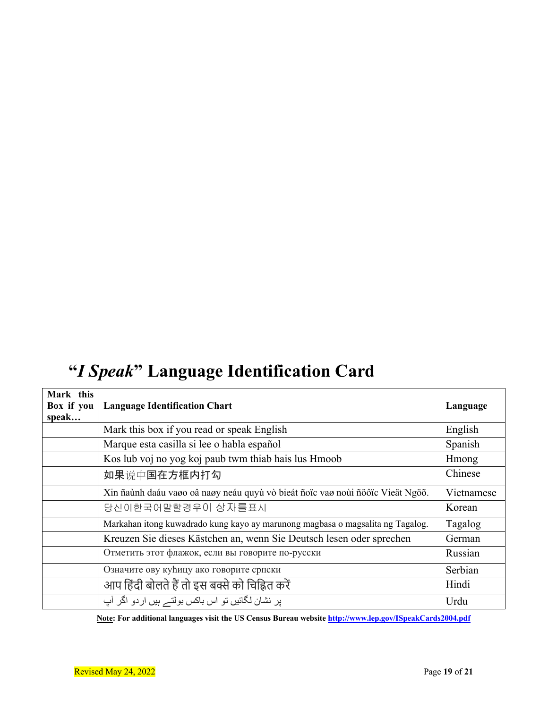# **"***I Speak***" Language Identification Card**

| Mark this<br>Box if you<br>speak | <b>Language Identification Chart</b>                                           | Language   |
|----------------------------------|--------------------------------------------------------------------------------|------------|
|                                  | Mark this box if you read or speak English                                     | English    |
|                                  | Marque esta casilla si lee o habla español                                     | Spanish    |
|                                  | Kos lub voj no yog koj paub twm thiab hais lus Hmoob                           | Hmong      |
|                                  | 如果说中国在方框内打勾                                                                    | Chinese    |
|                                  | Xin ñaùnh daáu vaøo oâ naøy neáu quyù vò bieát ñoïc vaø noùi ñöôïc Vieät Ngöõ. | Vietnamese |
|                                  | 당신이한국어말할경우이 상자를표시                                                              | Korean     |
|                                  | Markahan itong kuwadrado kung kayo ay marunong magbasa o magsalita ng Tagalog. | Tagalog    |
|                                  | Kreuzen Sie dieses Kästchen an, wenn Sie Deutsch lesen oder sprechen           | German     |
|                                  | Отметить этот флажок, если вы говорите по-русски                               | Russian    |
|                                  | Означите ову кућицу ако говорите српски                                        | Serbian    |
|                                  | आप हिंदी बोलते हैं तो इस बक्से को चिह्नित करें                                 | Hindi      |
|                                  | پر نشان لگائیں تو اس باکس بولتے ہیں اردو اگر آپ                                | Urdu       |

**Note: For additional languages visit the US Census Bureau website http://www.lep.gov/ISpeakCards2004.pdf**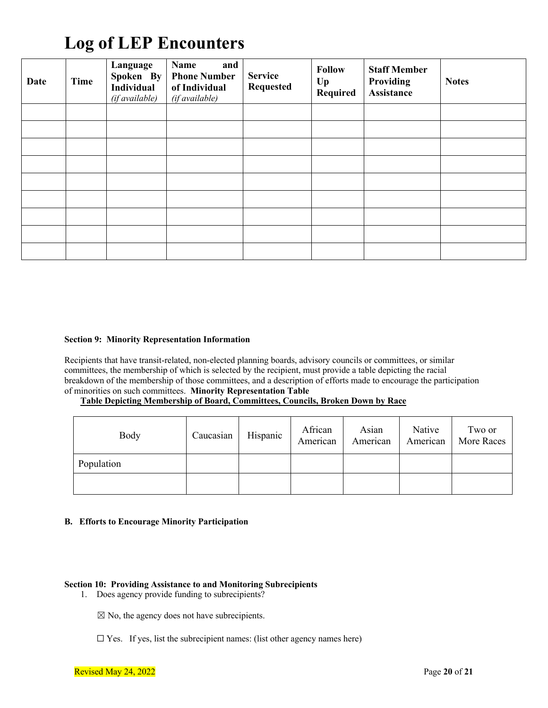# **Log of LEP Encounters**

| <b>Date</b> | <b>Time</b> | Language<br>Spoken By<br>Individual<br>(if available) | Name<br>and<br><b>Phone Number</b><br>of Individual<br>(if available) | <b>Service</b><br><b>Requested</b> | <b>Follow</b><br>$U_{p}$<br>Required | <b>Staff Member</b><br><b>Providing</b><br>Assistance | <b>Notes</b> |
|-------------|-------------|-------------------------------------------------------|-----------------------------------------------------------------------|------------------------------------|--------------------------------------|-------------------------------------------------------|--------------|
|             |             |                                                       |                                                                       |                                    |                                      |                                                       |              |
|             |             |                                                       |                                                                       |                                    |                                      |                                                       |              |
|             |             |                                                       |                                                                       |                                    |                                      |                                                       |              |
|             |             |                                                       |                                                                       |                                    |                                      |                                                       |              |
|             |             |                                                       |                                                                       |                                    |                                      |                                                       |              |
|             |             |                                                       |                                                                       |                                    |                                      |                                                       |              |
|             |             |                                                       |                                                                       |                                    |                                      |                                                       |              |
|             |             |                                                       |                                                                       |                                    |                                      |                                                       |              |
|             |             |                                                       |                                                                       |                                    |                                      |                                                       |              |

#### **Section 9: Minority Representation Information**

Recipients that have transit-related, non-elected planning boards, advisory councils or committees, or similar committees, the membership of which is selected by the recipient, must provide a table depicting the racial breakdown of the membership of those committees, and a description of efforts made to encourage the participation of minorities on such committees. **Minority Representation Table**

#### **Table Depicting Membership of Board, Committees, Councils, Broken Down by Race**

| Body       | Caucasian | Hispanic | African<br>American | Asian<br>American | Native<br>American | Two or<br>More Races |
|------------|-----------|----------|---------------------|-------------------|--------------------|----------------------|
| Population |           |          |                     |                   |                    |                      |
|            |           |          |                     |                   |                    |                      |

#### **B. Efforts to Encourage Minority Participation**

#### **Section 10: Providing Assistance to and Monitoring Subrecipients**

1. Does agency provide funding to subrecipients?

 $\boxtimes$  No, the agency does not have subrecipients.

 $\square$  Yes. If yes, list the subrecipient names: (list other agency names here)